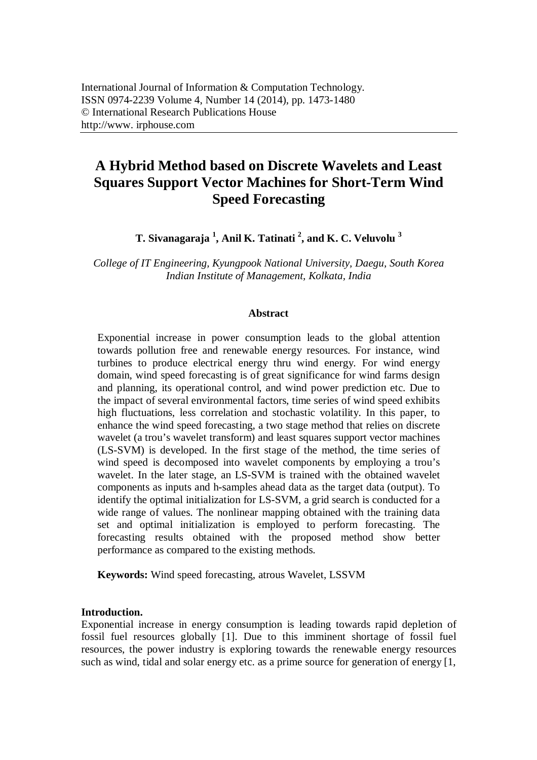# **A Hybrid Method based on Discrete Wavelets and Least Squares Support Vector Machines for Short-Term Wind Speed Forecasting**

**T. Sivanagaraja <sup>1</sup> , Anil K. Tatinati <sup>2</sup> , and K. C. Veluvolu <sup>3</sup>**

*College of IT Engineering, Kyungpook National University, Daegu, South Korea Indian Institute of Management, Kolkata, India*

# **Abstract**

Exponential increase in power consumption leads to the global attention towards pollution free and renewable energy resources. For instance, wind turbines to produce electrical energy thru wind energy. For wind energy domain, wind speed forecasting is of great significance for wind farms design and planning, its operational control, and wind power prediction etc. Due to the impact of several environmental factors, time series of wind speed exhibits high fluctuations, less correlation and stochastic volatility. In this paper, to enhance the wind speed forecasting, a two stage method that relies on discrete wavelet (a trou's wavelet transform) and least squares support vector machines (LS-SVM) is developed. In the first stage of the method, the time series of wind speed is decomposed into wavelet components by employing a trou's wavelet. In the later stage, an LS-SVM is trained with the obtained wavelet components as inputs and h-samples ahead data as the target data (output). To identify the optimal initialization for LS-SVM, a grid search is conducted for a wide range of values. The nonlinear mapping obtained with the training data set and optimal initialization is employed to perform forecasting. The forecasting results obtained with the proposed method show better performance as compared to the existing methods.

**Keywords:** Wind speed forecasting, atrous Wavelet, LSSVM

## **Introduction.**

Exponential increase in energy consumption is leading towards rapid depletion of fossil fuel resources globally [1]. Due to this imminent shortage of fossil fuel resources, the power industry is exploring towards the renewable energy resources such as wind, tidal and solar energy etc. as a prime source for generation of energy [1,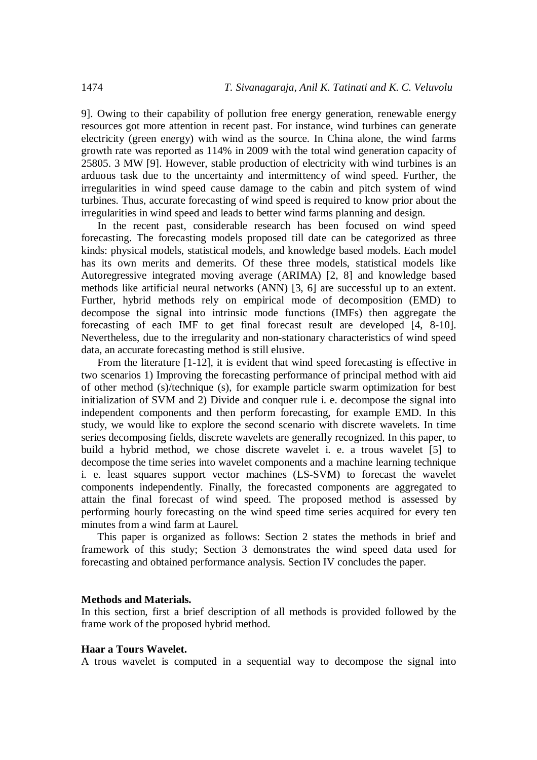9]. Owing to their capability of pollution free energy generation, renewable energy resources got more attention in recent past. For instance, wind turbines can generate electricity (green energy) with wind as the source. In China alone, the wind farms growth rate was reported as 114% in 2009 with the total wind generation capacity of 25805. 3 MW [9]. However, stable production of electricity with wind turbines is an arduous task due to the uncertainty and intermittency of wind speed. Further, the irregularities in wind speed cause damage to the cabin and pitch system of wind turbines. Thus, accurate forecasting of wind speed is required to know prior about the irregularities in wind speed and leads to better wind farms planning and design.

In the recent past, considerable research has been focused on wind speed forecasting. The forecasting models proposed till date can be categorized as three kinds: physical models, statistical models, and knowledge based models. Each model has its own merits and demerits. Of these three models, statistical models like Autoregressive integrated moving average (ARIMA) [2, 8] and knowledge based methods like artificial neural networks (ANN) [3, 6] are successful up to an extent. Further, hybrid methods rely on empirical mode of decomposition (EMD) to decompose the signal into intrinsic mode functions (IMFs) then aggregate the forecasting of each IMF to get final forecast result are developed [4, 8-10]. Nevertheless, due to the irregularity and non-stationary characteristics of wind speed data, an accurate forecasting method is still elusive.

From the literature [1-12], it is evident that wind speed forecasting is effective in two scenarios 1) Improving the forecasting performance of principal method with aid of other method (s)/technique (s), for example particle swarm optimization for best initialization of SVM and 2) Divide and conquer rule i. e. decompose the signal into independent components and then perform forecasting, for example EMD. In this study, we would like to explore the second scenario with discrete wavelets. In time series decomposing fields, discrete wavelets are generally recognized. In this paper, to build a hybrid method, we chose discrete wavelet i. e. a trous wavelet [5] to decompose the time series into wavelet components and a machine learning technique i. e. least squares support vector machines (LS-SVM) to forecast the wavelet components independently. Finally, the forecasted components are aggregated to attain the final forecast of wind speed. The proposed method is assessed by performing hourly forecasting on the wind speed time series acquired for every ten minutes from a wind farm at Laurel.

This paper is organized as follows: Section 2 states the methods in brief and framework of this study; Section 3 demonstrates the wind speed data used for forecasting and obtained performance analysis. Section IV concludes the paper.

#### **Methods and Materials.**

In this section, first a brief description of all methods is provided followed by the frame work of the proposed hybrid method.

#### **Haar a Tours Wavelet.**

A trous wavelet is computed in a sequential way to decompose the signal into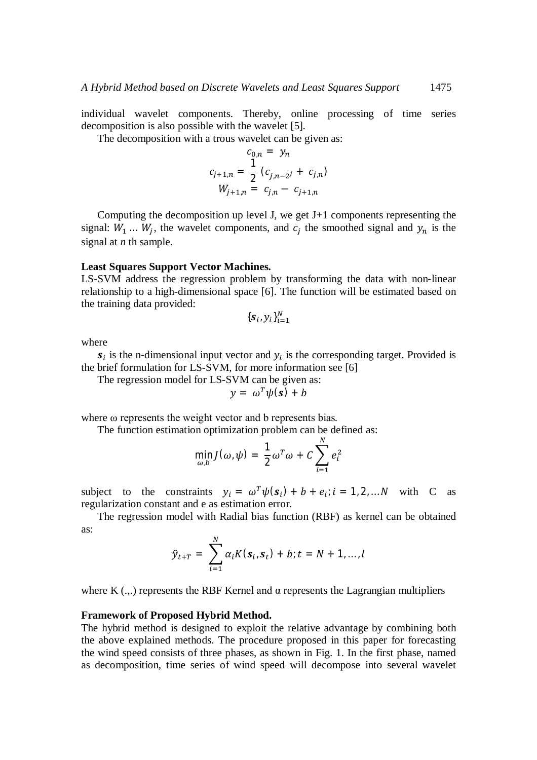individual wavelet components. Thereby, online processing of time series decomposition is also possible with the wavelet [5].

The decomposition with a trous wavelet can be given as:

$$
c_{0,n} = y_n
$$
  
\n
$$
c_{j+1,n} = \frac{1}{2} (c_{j,n-2j} + c_{j,n})
$$
  
\n
$$
W_{j+1,n} = c_{j,n} - c_{j+1,n}
$$

Computing the decomposition up level J, we get J+1 components representing the signal:  $W_1 ... W_j$ , the wavelet components, and  $c_j$  the smoothed signal and  $y_n$  is the signal at *n* th sample.

#### **Least Squares Support Vector Machines.**

LS-SVM address the regression problem by transforming the data with non-linear relationship to a high-dimensional space [6]. The function will be estimated based on the training data provided:

$$
\{\boldsymbol{s}_i, y_i\}_{i=1}^N
$$

where

 $s_i$  is the n-dimensional input vector and  $y_i$  is the corresponding target. Provided is the brief formulation for LS-SVM, for more information see [6]

The regression model for LS-SVM can be given as:

$$
y = \omega^T \psi(s) + b
$$

where ω represents the weight vector and b represents bias.

The function estimation optimization problem can be defined as:

$$
\min_{\omega,b} J(\omega,\psi) = \frac{1}{2}\omega^T\omega + C\sum_{i=1}^N e_i^2
$$

subject to the constraints  $y_i = \omega^T \psi(s_i) + b + e_i$ ;  $i = 1, 2, ... N$  with C as regularization constant and e as estimation error.

The regression model with Radial bias function (RBF) as kernel can be obtained as:

$$
\hat{y}_{t+T} = \sum_{i=1}^{N} \alpha_i K(\bm{s}_i, \bm{s}_t) + b; t = N + 1, ..., l
$$

where K  $(...)$  represents the RBF Kernel and  $\alpha$  represents the Lagrangian multipliers

#### **Framework of Proposed Hybrid Method.**

The hybrid method is designed to exploit the relative advantage by combining both the above explained methods. The procedure proposed in this paper for forecasting the wind speed consists of three phases, as shown in Fig. 1. In the first phase, named as decomposition, time series of wind speed will decompose into several wavelet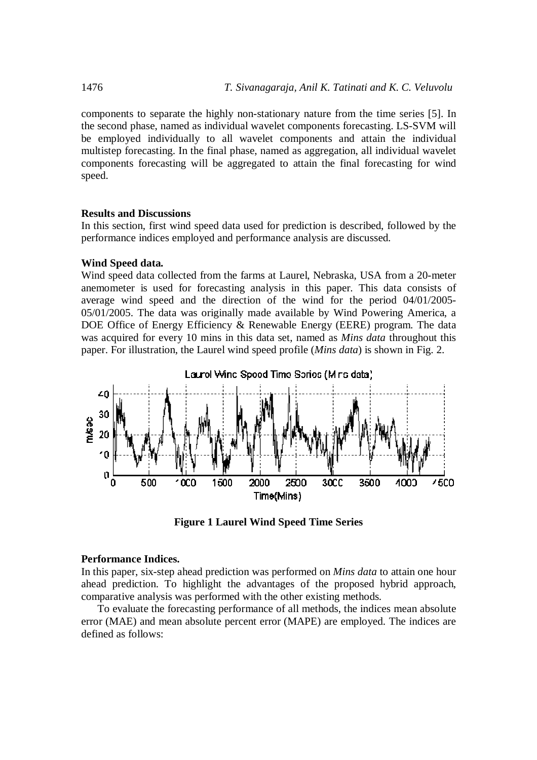components to separate the highly non-stationary nature from the time series [5]. In the second phase, named as individual wavelet components forecasting. LS-SVM will be employed individually to all wavelet components and attain the individual multistep forecasting. In the final phase, named as aggregation, all individual wavelet components forecasting will be aggregated to attain the final forecasting for wind speed.

# **Results and Discussions**

In this section, first wind speed data used for prediction is described, followed by the performance indices employed and performance analysis are discussed.

### **Wind Speed data.**

Wind speed data collected from the farms at Laurel, Nebraska, USA from a 20-meter anemometer is used for forecasting analysis in this paper. This data consists of average wind speed and the direction of the wind for the period 04/01/2005- 05/01/2005. The data was originally made available by Wind Powering America, a DOE Office of Energy Efficiency & Renewable Energy (EERE) program. The data was acquired for every 10 mins in this data set, named as *Mins data* throughout this paper. For illustration, the Laurel wind speed profile (*Mins data*) is shown in Fig. 2.





#### **Performance Indices.**

In this paper, six-step ahead prediction was performed on *Mins data* to attain one hour ahead prediction. To highlight the advantages of the proposed hybrid approach, comparative analysis was performed with the other existing methods.

To evaluate the forecasting performance of all methods, the indices mean absolute error (MAE) and mean absolute percent error (MAPE) are employed. The indices are defined as follows: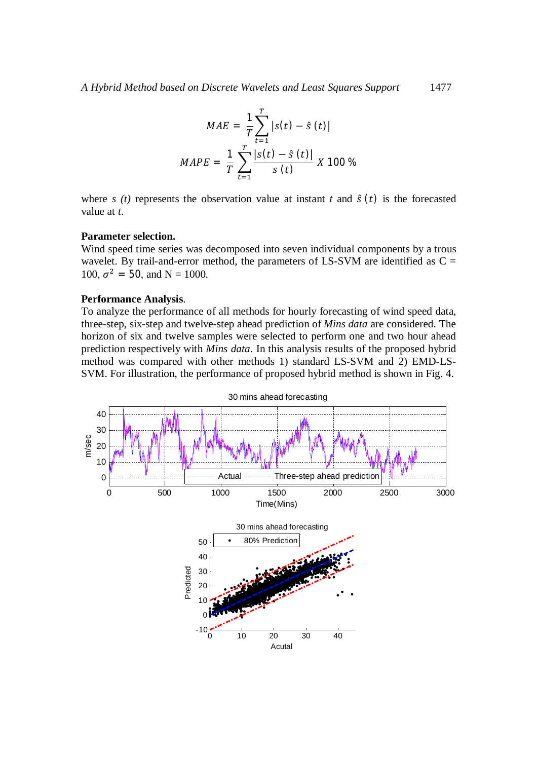$$
MAE = \frac{1}{T} \sum_{t=1}^{T} |s(t) - \hat{s}(t)|
$$
  
 
$$
MAPE = \frac{1}{T} \sum_{t=1}^{T} \frac{|s(t) - \hat{s}(t)|}{s(t)} X 100 %
$$

where  $s(t)$  represents the observation value at instant  $t$  and  $\hat{s}(t)$  is the forecasted value at *t*.

# **Parameter selection.**

Wind speed time series was decomposed into seven individual components by a trous wavelet. By trail-and-error method, the parameters of  $LS-SVM$  are identified as  $C =$ 100,  $\sigma^2 = 50$ , and N = 1000.

## **Performance Analysis**.

To analyze the performance of all methods for hourly forecasting of wind speed data, three-step, six-step and twelve-step ahead prediction of *Mins data* are considered. The horizon of six and twelve samples were selected to perform one and two hour ahead prediction respectively with *Mins data*. In this analysis results of the proposed hybrid method was compared with other methods 1) standard LS-SVM and 2) EMD-LS-SVM. For illustration, the performance of proposed hybrid method is shown in Fig. 4.

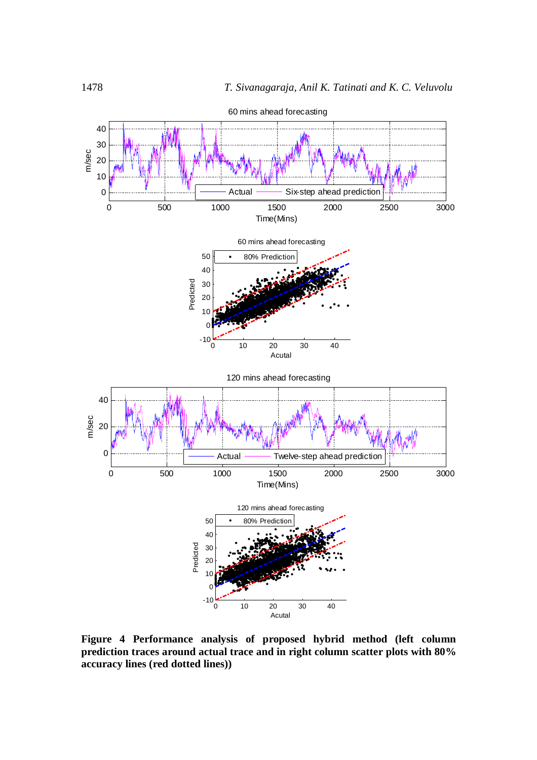

**Figure 4 Performance analysis of proposed hybrid method (left column prediction traces around actual trace and in right column scatter plots with 80% accuracy lines (red dotted lines))**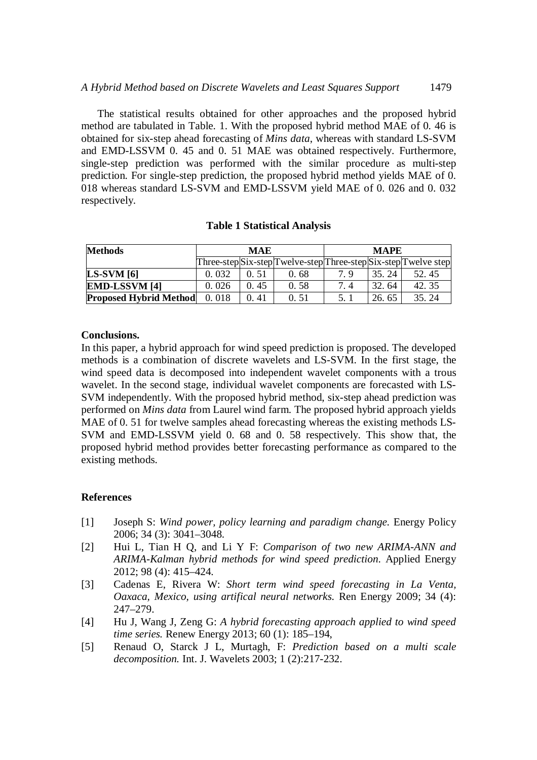The statistical results obtained for other approaches and the proposed hybrid method are tabulated in Table. 1. With the proposed hybrid method MAE of 0. 46 is obtained for six-step ahead forecasting of *Mins data*, whereas with standard LS-SVM and EMD-LSSVM 0. 45 and 0. 51 MAE was obtained respectively. Furthermore, single-step prediction was performed with the similar procedure as multi-step prediction. For single-step prediction, the proposed hybrid method yields MAE of 0. 018 whereas standard LS-SVM and EMD-LSSVM yield MAE of 0. 026 and 0. 032 respectively.

# **Table 1 Statistical Analysis**

| <b>Methods</b>                | <b>MAE</b> |       |                                                                 | <b>MAPE</b> |       |       |
|-------------------------------|------------|-------|-----------------------------------------------------------------|-------------|-------|-------|
|                               |            |       | Three-step Six-step Twelve-step Three-step Six-step Twelve step |             |       |       |
| $LS-SVM [6]$                  | 0.032      | 0. 51 | 0.68                                                            | 7 Q         | 35.24 | 52.45 |
| <b>EMD-LSSVM [4]</b>          | 0.026      | 0.45  | 0.58                                                            | 7.4         | 32.64 | 42.35 |
| <b>Proposed Hybrid Method</b> | 0.018      | 0.41  | 0. 51                                                           |             | 26.65 | 35.24 |

# **Conclusions.**

In this paper, a hybrid approach for wind speed prediction is proposed. The developed methods is a combination of discrete wavelets and LS-SVM. In the first stage, the wind speed data is decomposed into independent wavelet components with a trous wavelet. In the second stage, individual wavelet components are forecasted with LS-SVM independently. With the proposed hybrid method, six-step ahead prediction was performed on *Mins data* from Laurel wind farm. The proposed hybrid approach yields MAE of 0. 51 for twelve samples ahead forecasting whereas the existing methods LS-SVM and EMD-LSSVM yield 0. 68 and 0. 58 respectively. This show that, the proposed hybrid method provides better forecasting performance as compared to the existing methods.

# **References**

- [1] Joseph S: *Wind power, policy learning and paradigm change.* Energy Policy 2006; 34 (3): 3041–3048.
- [2] Hui L, Tian H Q, and Li Y F: *Comparison of two new ARIMA-ANN and ARIMA-Kalman hybrid methods for wind speed prediction*. Applied Energy 2012; 98 (4): 415–424.
- [3] Cadenas E, Rivera W: *Short term wind speed forecasting in La Venta, Oaxaca, Mexico, using artifical neural networks.* Ren Energy 2009; 34 (4): 247–279.
- [4] Hu J, Wang J, Zeng G: *A hybrid forecasting approach applied to wind speed time series.* Renew Energy 2013; 60 (1): 185–194,
- [5] Renaud O, Starck J L, Murtagh, F: *Prediction based on a multi scale decomposition.* Int. J. Wavelets 2003; 1 (2):217-232.